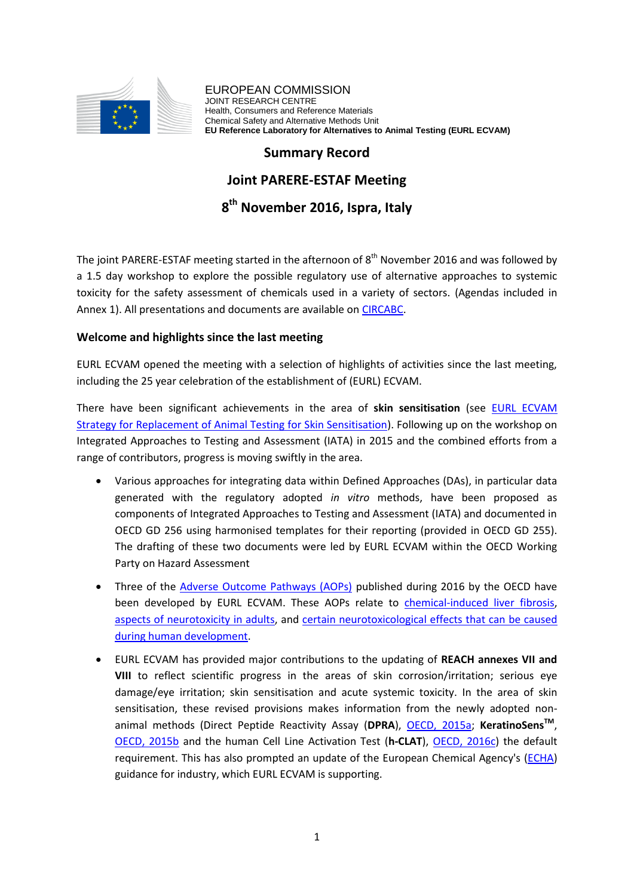

EUROPEAN COMMISSION JOINT RESEARCH CENTRE Health, Consumers and Reference Materials Chemical Safety and Alternative Methods Unit **EU Reference Laboratory for Alternatives to Animal Testing (EURL ECVAM)**

### **Summary Record**

### **Joint PARERE-ESTAF Meeting**

# **8 th November 2016, Ispra, Italy**

The joint PARERE-ESTAF meeting started in the afternoon of  $8<sup>th</sup>$  November 2016 and was followed by a 1.5 day workshop to explore the possible regulatory use of alternative approaches to systemic toxicity for the safety assessment of chemicals used in a variety of sectors. (Agendas included in Annex 1). All presentations and documents are available on [CIRCABC.](https://circabc.europa.eu/)

#### **Welcome and highlights since the last meeting**

EURL ECVAM opened the meeting with a selection of highlights of activities since the last meeting, including the 25 year celebration of the establishment of (EURL) ECVAM.

There have been significant achievements in the area of **skin sensitisation** (see [EURL ECVAM](https://eurl-ecvam.jrc.ec.europa.eu/eurl-ecvam-strategy-papers/strat-skin-sensitisation)  [Strategy for Replacement of Animal Testing for Skin Sensitisation\)](https://eurl-ecvam.jrc.ec.europa.eu/eurl-ecvam-strategy-papers/strat-skin-sensitisation). Following up on the workshop on Integrated Approaches to Testing and Assessment (IATA) in 2015 and the combined efforts from a range of contributors, progress is moving swiftly in the area.

- Various approaches for integrating data within Defined Approaches (DAs), in particular data generated with the regulatory adopted *in vitro* methods, have been proposed as components of Integrated Approaches to Testing and Assessment (IATA) and documented in OECD GD 256 using harmonised templates for their reporting (provided in OECD GD 255). The drafting of these two documents were led by EURL ECVAM within the OECD Working Party on Hazard Assessment
- Three of the *Adverse Outcome Pathways (AOPs)* published during 2016 by the OECD have been developed by EURL ECVAM. These AOPs relate to [chemical-induced liver fibrosis,](http://www.oecd-ilibrary.org/environment/adverse-outcome-pathway-on-protein-alkylation-leading-to-liver-fibrosis_5jlsvwl6g7r5-en) [aspects of neurotoxicity in adults,](http://www.oecd-ilibrary.org/environment/adverse-outcome-pathway-on-binding-of-agonists-to-ionotropic-glutamate-receptors-in-adult-brain-leading-to-excitotoxicity-that-mediates-neuronal-cell-death-contributing-to-learning-and-memory-impairment_5jlr8vqgm630-en) and [certain neurotoxicological effects that can be caused](http://www.oecd-ilibrary.org/environment/adverse-outcome-pathway-on-chronic-binding-of-antagonist-to-n-methyl-d-aspartate-receptors-nmdars-during-brain-development-induces-impairment-of-learning-and-memory-abilities_5jlsqs5hcrmq-en)  [during human development.](http://www.oecd-ilibrary.org/environment/adverse-outcome-pathway-on-chronic-binding-of-antagonist-to-n-methyl-d-aspartate-receptors-nmdars-during-brain-development-induces-impairment-of-learning-and-memory-abilities_5jlsqs5hcrmq-en)
- EURL ECVAM has provided major contributions to the updating of **REACH annexes VII and VIII** to reflect scientific progress in the areas of skin corrosion/irritation; serious eye damage/eye irritation; skin sensitisation and acute systemic toxicity. In the area of skin sensitisation, these revised provisions makes information from the newly adopted nonanimal methods (Direct Peptide Reactivity Assay (**DPRA**), [OECD, 2015a;](http://www.oecd-ilibrary.org/environment/test-no-442c-in-chemico-skin-sensitisation_9789264229709-en) **KeratinoSensTM** , [OECD, 2015b](http://www.oecd-ilibrary.org/environment/test-no-442d-in-vitro-skin-sensitisation_9789264229822-en) and the human Cell Line Activation Test (**h-CLAT**), [OECD, 2016c\)](http://www.oecd-ilibrary.org/environment/test-no-442e-in-vitro-skin-sensitisation_9789264264359-en) the default requirement. This has also prompted an update of the European Chemical Agency's [\(ECHA\)](https://echa.europa.eu/) guidance for industry, which EURL ECVAM is supporting.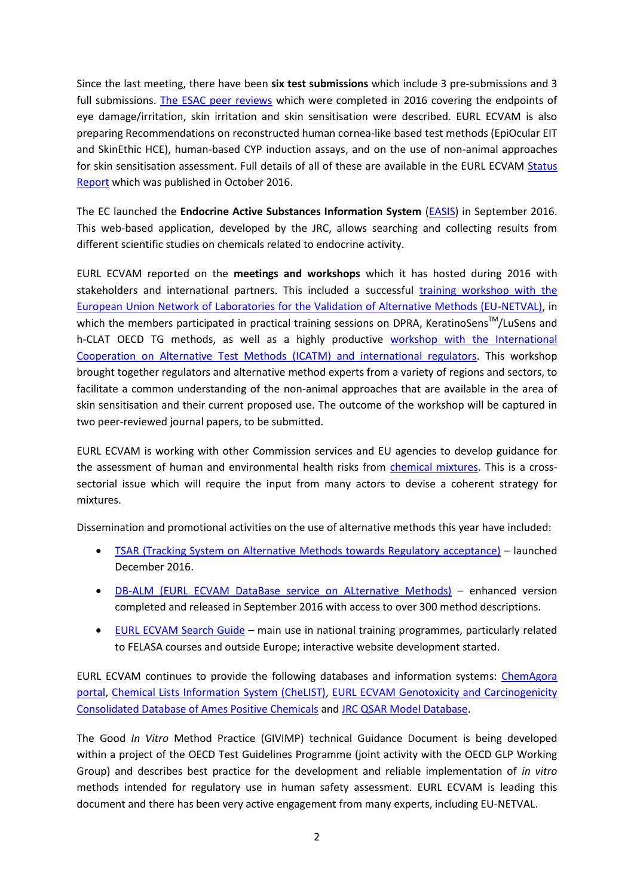Since the last meeting, there have been **six test submissions** which include 3 pre-submissions and 3 full submissions. [The ESAC peer reviews](https://ec.europa.eu/jrc/en/science-update/jrcs-eurl-ecvam-publishes-new-opinions-its-scientific-advisory-committee-esac) which were completed in 2016 covering the endpoints of eye damage/irritation, skin irritation and skin sensitisation were described. EURL ECVAM is also preparing Recommendations on reconstructed human cornea-like based test methods (EpiOcular EIT and SkinEthic HCE), human-based CYP induction assays, and on the use of non-animal approaches for skin sensitisation assessment. Full details of all of these are available in the EURL ECVAM [Status](https://ec.europa.eu/jrc/en/science-update/jrcs-eurl-ecvam-publishes-it-latest-status-report)  [Report](https://ec.europa.eu/jrc/en/science-update/jrcs-eurl-ecvam-publishes-it-latest-status-report) which was published in October 2016.

The EC launched the **Endocrine Active Substances Information System** [\(EASIS\)](https://ec.europa.eu/jrc/en/news/launch-endocrine-active-substances-information-system-easis) in September 2016. This web-based application, developed by the JRC, allows searching and collecting results from different scientific studies on chemicals related to endocrine activity.

EURL ECVAM reported on the **meetings and workshops** which it has hosted during 2016 with stakeholders and international partners. This included a successful [training workshop with the](https://ec.europa.eu/jrc/en/news/meeting-eu-network-laboratories-validation-alternative-methods-eu-netval-sharing-practical-expertise)  [European Union Network of Laboratories for the Validation of Alternative Methods \(EU-NETVAL\),](https://ec.europa.eu/jrc/en/news/meeting-eu-network-laboratories-validation-alternative-methods-eu-netval-sharing-practical-expertise) in which the members participated in practical training sessions on DPRA, KeratinoSens™/LuSens and h-CLAT OECD TG methods, as well as a highly productive [workshop with the International](https://ec.europa.eu/jrc/en/news/crossing-continents-and-sectors-accelerate-global-progress-alternative-methods-animal-testing)  Cooperation on [Alternative Test Methods \(ICATM\) and international regulators.](https://ec.europa.eu/jrc/en/news/crossing-continents-and-sectors-accelerate-global-progress-alternative-methods-animal-testing) This workshop brought together regulators and alternative method experts from a variety of regions and sectors, to facilitate a common understanding of the non-animal approaches that are available in the area of skin sensitisation and their current proposed use. The outcome of the workshop will be captured in two peer-reviewed journal papers, to be submitted.

EURL ECVAM is working with other Commission services and EU agencies to develop guidance for the assessment of human and environmental health risks from [chemical mixtures.](https://ec.europa.eu/jrc/en/science-update/current-and-future-approaches-assessment-combined-exposure-multiple-chemicals) This is a crosssectorial issue which will require the input from many actors to devise a coherent strategy for mixtures.

Dissemination and promotional activities on the use of alternative methods this year have included:

- [TSAR \(Tracking System on Alternative Methods towards Regulatory acceptance\)](http://tsar.jrc.ec.europa.eu/) launched December 2016.
- [DB-ALM \(EURL ECVAM DataBase service on ALternative Methods\)](https://ecvam-dbalm.jrc.ec.europa.eu/) enhanced version completed and released in September 2016 with access to over 300 method descriptions.
- [EURL ECVAM Search Guide](https://eurl-ecvam.jrc.ec.europa.eu/databases/search-guide) main use in national training programmes, particularly related to FELASA courses and outside Europe; interactive website development started.

EURL ECVAM continues to provide the following databases and information systems: [ChemAgora](https://eurl-ecvam.jrc.ec.europa.eu/databases/chemagora/chemagora)  [portal,](https://eurl-ecvam.jrc.ec.europa.eu/databases/chemagora/chemagora) [Chemical Lists Information System \(CheLIST\),](https://eurl-ecvam.jrc.ec.europa.eu/databases/chelist) [EURL ECVAM Genotoxicity and Carcinogenicity](https://eurl-ecvam.jrc.ec.europa.eu/databases/genotoxicity-carcinogenicity-db)  [Consolidated Database of Ames Positive Chemicals](https://eurl-ecvam.jrc.ec.europa.eu/databases/genotoxicity-carcinogenicity-db) and [JRC QSAR Model Database.](https://eurl-ecvam.jrc.ec.europa.eu/databases/jrc-qsar-model-database)

The Good *In Vitro* Method Practice (GIVIMP) technical Guidance Document is being developed within a project of the OECD Test Guidelines Programme (joint activity with the OECD GLP Working Group) and describes best practice for the development and reliable implementation of *in vitro* methods intended for regulatory use in human safety assessment. EURL ECVAM is leading this document and there has been very active engagement from many experts, including EU-NETVAL.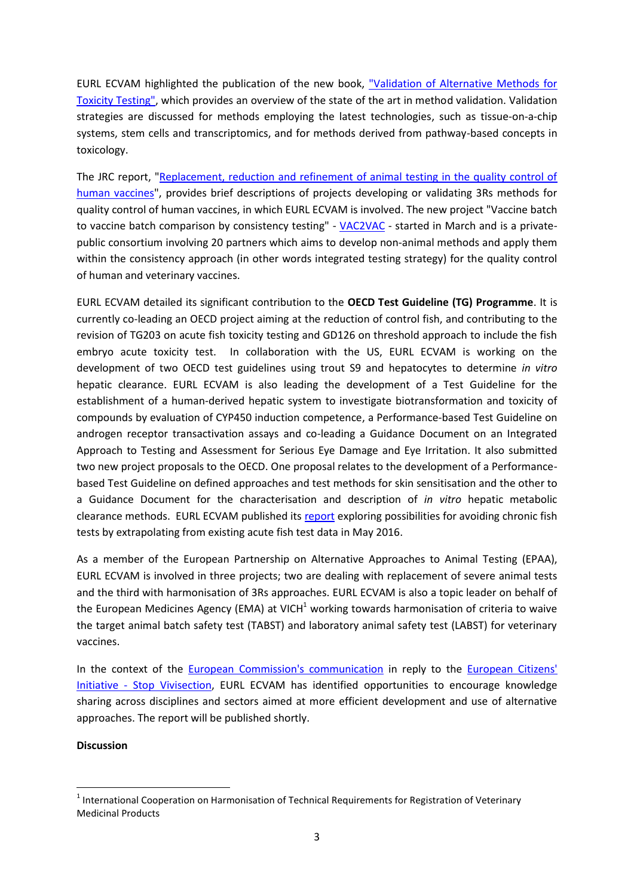EURL ECVAM highlighted the publication of the new book, ["Validation of Alternative Methods for](http://www.springer.com/gp/book/9783319338248?wt_mc=GoogleBooks.GoogleBooks.3.EN&token=gbgen#otherversion=9783319338262)  [Toxicity Testing",](http://www.springer.com/gp/book/9783319338248?wt_mc=GoogleBooks.GoogleBooks.3.EN&token=gbgen#otherversion=9783319338262) which provides an overview of the state of the art in method validation. Validation strategies are discussed for methods employing the latest technologies, such as tissue-on-a-chip systems, stem cells and transcriptomics, and for methods derived from pathway-based concepts in toxicology.

The JRC report, ["Replacement, reduction and refinement of animal testing in the quality control of](http://bookshop.europa.eu/en/replacement-reduction-and-refinement-of-animal-testing-in-the-quality-control-of-human-vaccines-pbLBNA27646/)  [human vaccines"](http://bookshop.europa.eu/en/replacement-reduction-and-refinement-of-animal-testing-in-the-quality-control-of-human-vaccines-pbLBNA27646/), provides brief descriptions of projects developing or validating 3Rs methods for quality control of human vaccines, in which EURL ECVAM is involved. The new project "Vaccine batch to vaccine batch comparison by consistency testing" - [VAC2VAC](https://eurl-ecvam.jrc.ec.europa.eu/launch-of-research-project-vac2vac-to-develop-animal-free-methods-for-the-quality-control-of-vaccines) - started in March and is a privatepublic consortium involving 20 partners which aims to develop non-animal methods and apply them within the consistency approach (in other words integrated testing strategy) for the quality control of human and veterinary vaccines.

EURL ECVAM detailed its significant contribution to the **OECD Test Guideline (TG) Programme**. It is currently co-leading an OECD project aiming at the reduction of control fish, and contributing to the revision of TG203 on acute fish toxicity testing and GD126 on threshold approach to include the fish embryo acute toxicity test. In collaboration with the US, EURL ECVAM is working on the development of two OECD test guidelines using trout S9 and hepatocytes to determine *in vitro* hepatic clearance. EURL ECVAM is also leading the development of a Test Guideline for the establishment of a human-derived hepatic system to investigate biotransformation and toxicity of compounds by evaluation of CYP450 induction competence, a Performance-based Test Guideline on androgen receptor transactivation assays and co-leading a Guidance Document on an Integrated Approach to Testing and Assessment for Serious Eye Damage and Eye Irritation. It also submitted two new project proposals to the OECD. One proposal relates to the development of a Performancebased Test Guideline on defined approaches and test methods for skin sensitisation and the other to a Guidance Document for the characterisation and description of *in vitro* hepatic metabolic clearance methods. EURL ECVAM published its [report](https://ec.europa.eu/jrc/en/publication/scientific-options-avoiding-chronic-fish-testing-basis-existing-data-and-extrapolation-approaches) exploring possibilities for avoiding chronic fish tests by extrapolating from existing acute fish test data in May 2016.

As a member of the European Partnership on Alternative Approaches to Animal Testing (EPAA), EURL ECVAM is involved in three projects; two are dealing with replacement of severe animal tests and the third with harmonisation of 3Rs approaches. EURL ECVAM is also a topic leader on behalf of the European Medicines Agency (EMA) at VICH<sup>1</sup> working towards harmonisation of criteria to waive the target animal batch safety test (TABST) and laboratory animal safety test (LABST) for veterinary vaccines.

In the context of the [European Commission's communication](http://ec.europa.eu/transparency/regdoc/rep/3/2015/EN/3-2015-3773-EN-F1-1.PDF) in reply to the [European Citizens'](http://www.stopvivisection.eu/)  Initiative - [Stop Vivisection,](http://www.stopvivisection.eu/) EURL ECVAM has identified opportunities to encourage knowledge sharing across disciplines and sectors aimed at more efficient development and use of alternative approaches. The report will be published shortly.

#### **Discussion**

1

 $<sup>1</sup>$  International Cooperation on Harmonisation of Technical Requirements for Registration of Veterinary</sup> Medicinal Products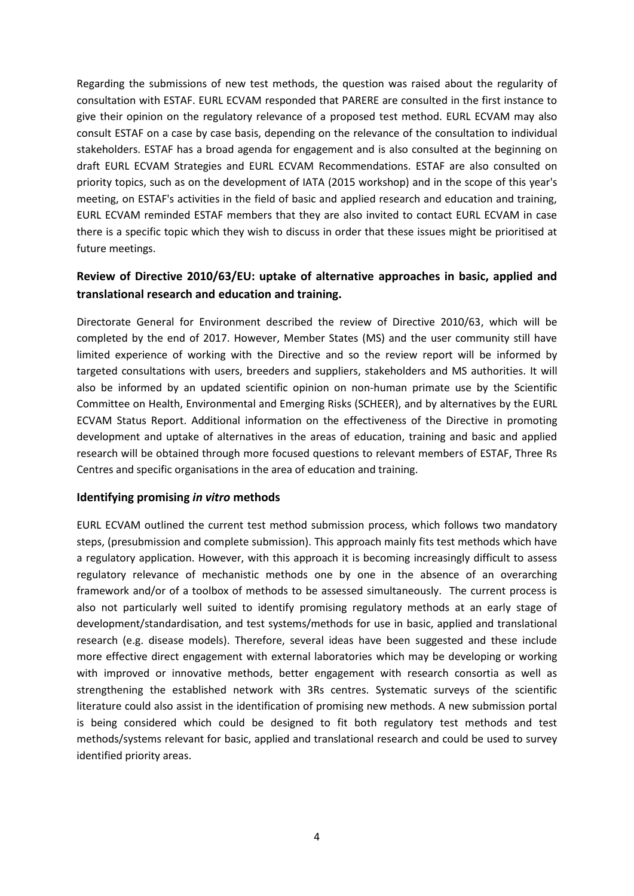Regarding the submissions of new test methods, the question was raised about the regularity of consultation with ESTAF. EURL ECVAM responded that PARERE are consulted in the first instance to give their opinion on the regulatory relevance of a proposed test method. EURL ECVAM may also consult ESTAF on a case by case basis, depending on the relevance of the consultation to individual stakeholders. ESTAF has a broad agenda for engagement and is also consulted at the beginning on draft EURL ECVAM Strategies and EURL ECVAM Recommendations. ESTAF are also consulted on priority topics, such as on the development of IATA (2015 workshop) and in the scope of this year's meeting, on ESTAF's activities in the field of basic and applied research and education and training, EURL ECVAM reminded ESTAF members that they are also invited to contact EURL ECVAM in case there is a specific topic which they wish to discuss in order that these issues might be prioritised at future meetings.

## **Review of Directive 2010/63/EU: uptake of alternative approaches in basic, applied and translational research and education and training.**

Directorate General for Environment described the review of Directive 2010/63, which will be completed by the end of 2017. However, Member States (MS) and the user community still have limited experience of working with the Directive and so the review report will be informed by targeted consultations with users, breeders and suppliers, stakeholders and MS authorities. It will also be informed by an updated scientific opinion on non-human primate use by the Scientific Committee on Health, Environmental and Emerging Risks (SCHEER), and by alternatives by the EURL ECVAM Status Report. Additional information on the effectiveness of the Directive in promoting development and uptake of alternatives in the areas of education, training and basic and applied research will be obtained through more focused questions to relevant members of ESTAF, Three Rs Centres and specific organisations in the area of education and training.

#### **Identifying promising** *in vitro* **methods**

EURL ECVAM outlined the current test method submission process, which follows two mandatory steps, (presubmission and complete submission). This approach mainly fits test methods which have a regulatory application. However, with this approach it is becoming increasingly difficult to assess regulatory relevance of mechanistic methods one by one in the absence of an overarching framework and/or of a toolbox of methods to be assessed simultaneously. The current process is also not particularly well suited to identify promising regulatory methods at an early stage of development/standardisation, and test systems/methods for use in basic, applied and translational research (e.g. disease models). Therefore, several ideas have been suggested and these include more effective direct engagement with external laboratories which may be developing or working with improved or innovative methods, better engagement with research consortia as well as strengthening the established network with 3Rs centres. Systematic surveys of the scientific literature could also assist in the identification of promising new methods. A new submission portal is being considered which could be designed to fit both regulatory test methods and test methods/systems relevant for basic, applied and translational research and could be used to survey identified priority areas.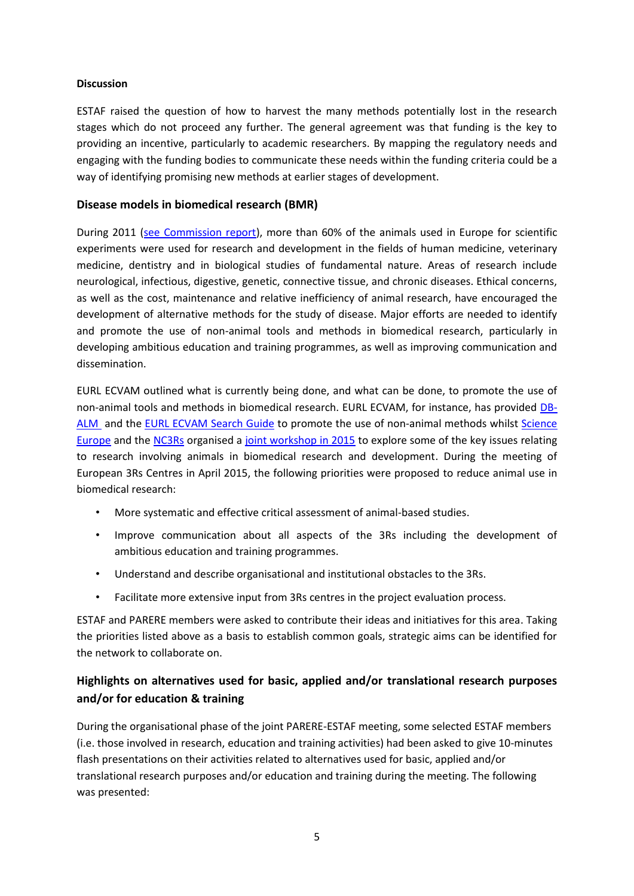#### **Discussion**

ESTAF raised the question of how to harvest the many methods potentially lost in the research stages which do not proceed any further. The general agreement was that funding is the key to providing an incentive, particularly to academic researchers. By mapping the regulatory needs and engaging with the funding bodies to communicate these needs within the funding criteria could be a way of identifying promising new methods at earlier stages of development.

### **Disease models in biomedical research (BMR)**

During 2011 [\(see Commission report\)](http://eur-lex.europa.eu/legal-content/EN/TXT/PDF/?uri=CELEX:52013DC0859&from=EN), more than 60% of the animals used in Europe for scientific experiments were used for research and development in the fields of human medicine, veterinary medicine, dentistry and in biological studies of fundamental nature. Areas of research include neurological, infectious, digestive, genetic, connective tissue, and chronic diseases. Ethical concerns, as well as the cost, maintenance and relative inefficiency of animal research, have encouraged the development of alternative methods for the study of disease. Major efforts are needed to identify and promote the use of non-animal tools and methods in biomedical research, particularly in developing ambitious education and training programmes, as well as improving communication and dissemination.

EURL ECVAM outlined what is currently being done, and what can be done, to promote the use of non-animal tools and methods in biomedical research. EURL ECVAM, for instance, has provided [DB-](https://ecvam-dbalm.jrc.ec.europa.eu/)[ALM](https://ecvam-dbalm.jrc.ec.europa.eu/) and the [EURL ECVAM Search Guide](https://eurl-ecvam.jrc.ec.europa.eu/databases/search-guide) to promote the use of non-animal methods whilst [Science](http://www.scienceeurope.org/)  [Europe](http://www.scienceeurope.org/) and the [NC3Rs](https://www.nc3rs.org.uk/) organised a [joint workshop in 2015](http://www.scienceeurope.org/wp-content/uploads/2015/12/WS_Report_3Rs_Final_web.pdf) to explore some of the key issues relating to research involving animals in biomedical research and development. During the meeting of European 3Rs Centres in April 2015, the following priorities were proposed to reduce animal use in biomedical research:

- More systematic and effective critical assessment of animal-based studies.
- Improve communication about all aspects of the 3Rs including the development of ambitious education and training programmes.
- Understand and describe organisational and institutional obstacles to the 3Rs.
- Facilitate more extensive input from 3Rs centres in the project evaluation process.

ESTAF and PARERE members were asked to contribute their ideas and initiatives for this area. Taking the priorities listed above as a basis to establish common goals, strategic aims can be identified for the network to collaborate on.

### **Highlights on alternatives used for basic, applied and/or translational research purposes and/or for education & training**

During the organisational phase of the joint PARERE-ESTAF meeting, some selected ESTAF members (i.e. those involved in research, education and training activities) had been asked to give 10-minutes flash presentations on their activities related to alternatives used for basic, applied and/or translational research purposes and/or education and training during the meeting. The following was presented: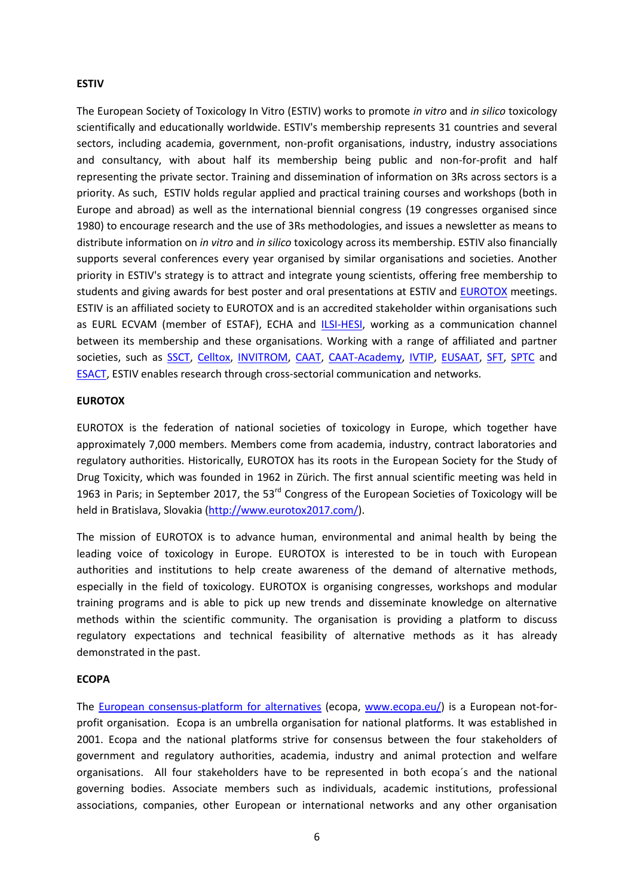#### **ESTIV**

The European Society of Toxicology In Vitro (ESTIV) works to promote *in vitro* and *in silico* toxicology scientifically and educationally worldwide. ESTIV's membership represents 31 countries and several sectors, including academia, government, non-profit organisations, industry, industry associations and consultancy, with about half its membership being public and non-for-profit and half representing the private sector. Training and dissemination of information on 3Rs across sectors is a priority. As such, ESTIV holds regular applied and practical training courses and workshops (both in Europe and abroad) as well as the international biennial congress (19 congresses organised since 1980) to encourage research and the use of 3Rs methodologies, and issues a newsletter as means to distribute information on *in vitro* and *in silico* toxicology across its membership. ESTIV also financially supports several conferences every year organised by similar organisations and societies. Another priority in ESTIV's strategy is to attract and integrate young scientists, offering free membership to students and giving awards for best poster and oral presentations at ESTIV and [EUROTOX](http://www.eurotox.com/) meetings. ESTIV is an affiliated society to EUROTOX and is an accredited stakeholder within organisations such as EURL ECVAM (member of ESTAF), ECHA and [ILSI-HESI,](http://hesiglobal.org/) working as a communication channel between its membership and these organisations. Working with a range of affiliated and partner societies, such as [SSCT,](http://ssct.se/) [Celltox,](http://www.celltox.it/index.asp) [INVITROM,](http://www.invitrom.org/) [CAAT,](http://caat.jhsph.edu/) [CAAT-Academy,](http://www.caat-academy.org/) [IVTIP,](http://www.ivtip.org/) [EUSAAT,](http://www.eusaat-congress.eu/) [SFT,](http://www.sftox.com/) [SPTC](http://sptc-web.fr/) and [ESACT,](http://www.esact.org/index.aspx?p=index) ESTIV enables research through cross-sectorial communication and networks.

#### **EUROTOX**

EUROTOX is the federation of national societies of toxicology in Europe, which together have approximately 7,000 members. Members come from academia, industry, contract laboratories and regulatory authorities. Historically, EUROTOX has its roots in the European Society for the Study of Drug Toxicity, which was founded in 1962 in Zürich. The first annual scientific meeting was held in 1963 in Paris; in September 2017, the 53<sup>rd</sup> Congress of the European Societies of Toxicology will be held in Bratislava, Slovakia [\(http://www.eurotox2017.com/\)](http://www.eurotox2017.com/).

The mission of EUROTOX is to advance human, environmental and animal health by being the leading voice of toxicology in Europe. EUROTOX is interested to be in touch with European authorities and institutions to help create awareness of the demand of alternative methods, especially in the field of toxicology. EUROTOX is organising congresses, workshops and modular training programs and is able to pick up new trends and disseminate knowledge on alternative methods within the scientific community. The organisation is providing a platform to discuss regulatory expectations and technical feasibility of alternative methods as it has already demonstrated in the past.

#### **ECOPA**

The [European](http://www.ecopa.eu/) [consensus-platform](http://www.ecopa.eu/) [for](http://www.ecopa.eu/) [alternatives](http://www.ecopa.eu/) (ecopa, [www.ecopa.eu/\)](http://www.ecopa.eu/) is a European not-forprofit organisation. Ecopa is an umbrella organisation for national platforms. It was established in 2001. Ecopa and the national platforms strive for consensus between the four stakeholders of government and regulatory authorities, academia, industry and animal protection and welfare organisations. All four stakeholders have to be represented in both ecopa´s and the national governing bodies. Associate members such as individuals, academic institutions, professional associations, companies, other European or international networks and any other organisation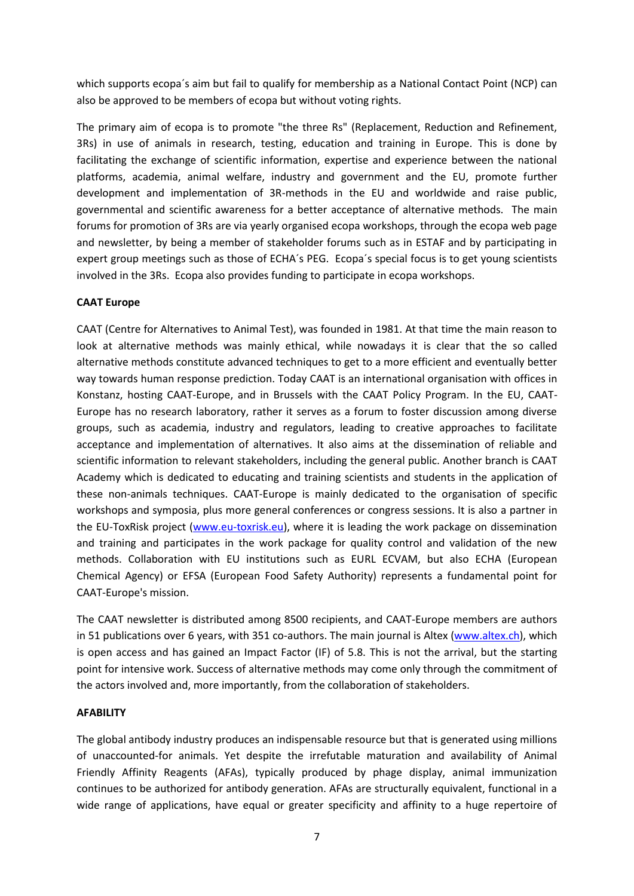which supports ecopa´s aim but fail to qualify for membership as a National Contact Point (NCP) can also be approved to be members of ecopa but without voting rights.

The primary aim of ecopa is to promote "the three Rs" (Replacement, Reduction and Refinement, 3Rs) in use of animals in research, testing, education and training in Europe. This is done by facilitating the exchange of scientific information, expertise and experience between the national platforms, academia, animal welfare, industry and government and the EU, promote further development and implementation of 3R-methods in the EU and worldwide and raise public, governmental and scientific awareness for a better acceptance of alternative methods. The main forums for promotion of 3Rs are via yearly organised ecopa workshops, through the ecopa web page and newsletter, by being a member of stakeholder forums such as in ESTAF and by participating in expert group meetings such as those of ECHA´s PEG. Ecopa´s special focus is to get young scientists involved in the 3Rs. Ecopa also provides funding to participate in ecopa workshops.

#### **CAAT Europe**

CAAT (Centre for Alternatives to Animal Test), was founded in 1981. At that time the main reason to look at alternative methods was mainly ethical, while nowadays it is clear that the so called alternative methods constitute advanced techniques to get to a more efficient and eventually better way towards human response prediction. Today CAAT is an international organisation with offices in Konstanz, hosting CAAT-Europe, and in Brussels with the CAAT Policy Program. In the EU, CAAT-Europe has no research laboratory, rather it serves as a forum to foster discussion among diverse groups, such as academia, industry and regulators, leading to creative approaches to facilitate acceptance and implementation of alternatives. It also aims at the dissemination of reliable and scientific information to relevant stakeholders, including the general public. Another branch is CAAT Academy which is dedicated to educating and training scientists and students in the application of these non-animals techniques. CAAT-Europe is mainly dedicated to the organisation of specific workshops and symposia, plus more general conferences or congress sessions. It is also a partner in the EU-ToxRisk project [\(www.eu-toxrisk.eu\)](http://www.eu-toxrisk.eu/), where it is leading the work package on dissemination and training and participates in the work package for quality control and validation of the new methods. Collaboration with EU institutions such as EURL ECVAM, but also ECHA (European Chemical Agency) or EFSA (European Food Safety Authority) represents a fundamental point for CAAT-Europe's mission.

The CAAT newsletter is distributed among 8500 recipients, and CAAT-Europe members are authors in 51 publications over 6 years, with 351 co-authors. The main journal is Altex [\(www.altex.ch\)](http://www.altex.ch/), which is open access and has gained an Impact Factor (IF) of 5.8. This is not the arrival, but the starting point for intensive work. Success of alternative methods may come only through the commitment of the actors involved and, more importantly, from the collaboration of stakeholders.

#### **AFABILITY**

The global antibody industry produces an indispensable resource but that is generated using millions of unaccounted-for animals. Yet despite the irrefutable maturation and availability of Animal Friendly Affinity Reagents (AFAs), typically produced by phage display, animal immunization continues to be authorized for antibody generation. AFAs are structurally equivalent, functional in a wide range of applications, have equal or greater specificity and affinity to a huge repertoire of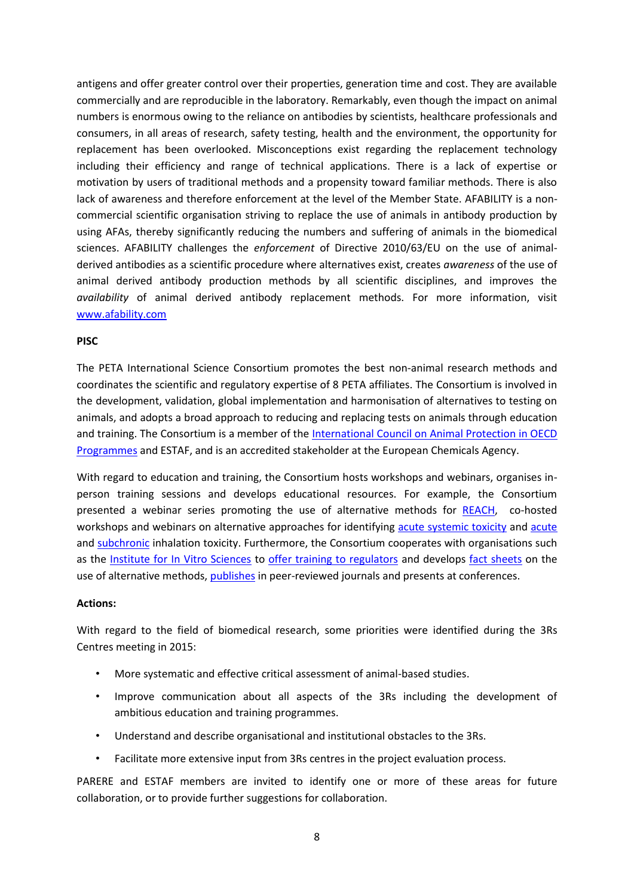antigens and offer greater control over their properties, generation time and cost. They are available commercially and are reproducible in the laboratory. Remarkably, even though the impact on animal numbers is enormous owing to the reliance on antibodies by scientists, healthcare professionals and consumers, in all areas of research, safety testing, health and the environment, the opportunity for replacement has been overlooked. Misconceptions exist regarding the replacement technology including their efficiency and range of technical applications. There is a lack of expertise or motivation by users of traditional methods and a propensity toward familiar methods. There is also lack of awareness and therefore enforcement at the level of the Member State. AFABILITY is a noncommercial scientific organisation striving to replace the use of animals in antibody production by using AFAs, thereby significantly reducing the numbers and suffering of animals in the biomedical sciences. AFABILITY challenges the *enforcement* of Directive 2010/63/EU on the use of animalderived antibodies as a scientific procedure where alternatives exist, creates *awareness* of the use of animal derived antibody production methods by all scientific disciplines, and improves the *availability* of animal derived antibody replacement methods. For more information, visit [www.afability.com](http://www.afability.com/)

#### **PISC**

The PETA International Science Consortium promotes the best non-animal research methods and coordinates the scientific and regulatory expertise of 8 PETA affiliates. The Consortium is involved in the development, validation, global implementation and harmonisation of alternatives to testing on animals, and adopts a broad approach to reducing and replacing tests on animals through education and training. The Consortium is a member of the [International Council on Animal Protection in OECD](http://www.icapo.org/)  [Programmes](http://www.icapo.org/) and ESTAF, and is an accredited stakeholder at the European Chemicals Agency.

With regard to education and training, the Consortium hosts workshops and webinars, organises inperson training sessions and develops educational resources. For example, the Consortium presented a webinar series promoting the use of alternative methods for [REACH,](http://www.piscltd.org.uk/reaching-alternatives-animal-testing/) co-hosted workshops and webinars on alternative approaches for identifying [acute systemic toxicity](http://www.piscltd.org.uk/acute-systemic-toxicity/) and [acute](http://www.piscltd.org.uk/acute-inhalation-toxicity/) and [subchronic](http://www.piscltd.org.uk/nanoworkshop/) inhalation toxicity. Furthermore, the Consortium cooperates with organisations such as the [Institute for In Vitro Sciences](http://iivs.org/) to [offer training to regulators](http://www.piscltd.org.uk/training/) and develops [fact sheets](http://www.piscltd.org.uk/alternatives-approved-by-regulators/) on the use of alternative methods, [publishes](http://www.piscltd.org.uk/scipubs/) in peer-reviewed journals and presents at conferences.

#### **Actions:**

With regard to the field of biomedical research, some priorities were identified during the 3Rs Centres meeting in 2015:

- More systematic and effective critical assessment of animal-based studies.
- Improve communication about all aspects of the 3Rs including the development of ambitious education and training programmes.
- Understand and describe organisational and institutional obstacles to the 3Rs.
- Facilitate more extensive input from 3Rs centres in the project evaluation process.

PARERE and ESTAF members are invited to identify one or more of these areas for future collaboration, or to provide further suggestions for collaboration.